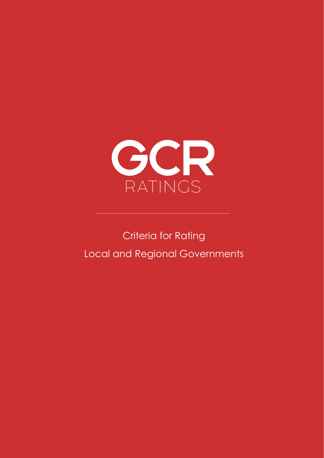

# Criteria for Rating Local and Regional Governments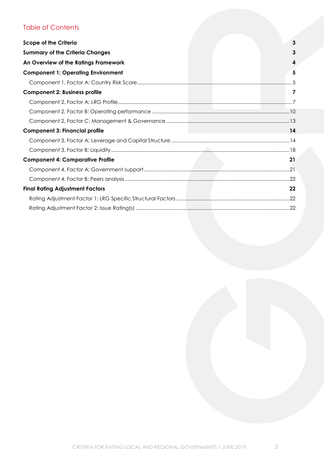# Table of Contents

| <b>Scope of the Criteria</b>              | 3  |
|-------------------------------------------|----|
| <b>Summary of the Criteria Changes</b>    | 3  |
| An Overview of the Ratings Framework      |    |
| <b>Component 1: Operating Environment</b> | 5  |
|                                           |    |
| <b>Component 2: Business profile</b>      | 7  |
|                                           |    |
|                                           |    |
|                                           |    |
| <b>Component 3: Financial profile</b>     | 14 |
|                                           |    |
|                                           |    |
| <b>Component 4: Comparative Profile</b>   | 21 |
|                                           |    |
|                                           |    |
| <b>Final Rating Adjustment Factors</b>    | 22 |
|                                           |    |
|                                           |    |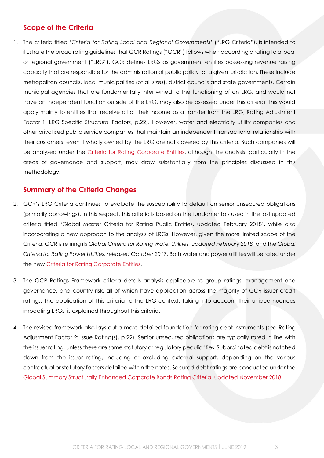# <span id="page-2-0"></span>**Scope of the Criteria**

1. The criteria titled '*Criteria for Rating Local and Regional Governments*' ("LRG Criteria"), is intended to illustrate the broad rating guidelines that GCR Ratings ("GCR") follows when according a rating to a local or regional government ("LRG"). GCR defines LRGs as government entities possessing revenue raising capacity that are responsible for the administration of public policy for a given jurisdiction. These include metropolitan councils, local municipalities (of all sizes), district councils and state governments. Certain municipal agencies that are fundamentally intertwined to the functioning of an LRG, and would not have an independent function outside of the LRG, may also be assessed under this criteria (this would apply mainly to entities that receive all of their income as a transfer from the LRG, [Rating Adjustment](#page-21-2)  [Factor 1: LRG Specific Structural Factors,](#page-21-2) p[.22\)](#page-21-2). However, water and electricity utility companies and other privatised public service companies that maintain an independent transactional relationship with their customers, even if wholly owned by the LRG are not covered by this criteria. Such companies will be analysed under the [Criteria for Rating Corporate Entities,](http://gcrratings.com/criteria) although the analysis, particularly in the areas of governance and support, may draw substantially from the principles discussed in this methodology.

# <span id="page-2-1"></span>**Summary of the Criteria Changes**

- 2. GCR's LRG Criteria continues to evaluate the susceptibility to default on senior unsecured obligations (primarily borrowings). In this respect, this criteria is based on the fundamentals used in the last updated criteria titled 'Global Master Criteria for Rating Public Entities, updated February 2018', while also incorporating a new approach to the analysis of LRGs. However, given the more limited scope of the Criteria, GCR is retiring its *Global* C*riteria for Rating Water Utilities, updated February 2018,* and the *Global Criteria for Rating Power Utilities, released October 2017*. Both water and power utilities will be rated under the new [Criteria for Rating Corporate Entities.](http://gcrratings.com/criteria)
- 3. The GCR Ratings Framework criteria details analysis applicable to group ratings, management and governance, and country risk, all of which have application across the majority of GCR issuer credit ratings. The application of this criteria to the LRG context, taking into account their unique nuances impacting LRGs, is explained throughout this criteria.
- <span id="page-2-2"></span>4. The revised framework also lays out a more detailed foundation for rating debt instruments (see [Rating](#page-21-3)  [Adjustment Factor 2:](#page-21-3) Issue Rating(s), p[.22\)](#page-21-3). Senior unsecured obligations are typically rated in line with the issuer rating, unless there are some statutory or regulatory peculiarities. Subordinated debt is notched down from the issuer rating, including or excluding external support, depending on the various contractual or statutory factors detailed within the notes. Secured debt ratings are conducted under the [Global Summary Structurally Enhanced Corporate Bonds Rating Criteria, updated November 2018.](http://gcrratings.com/criteria)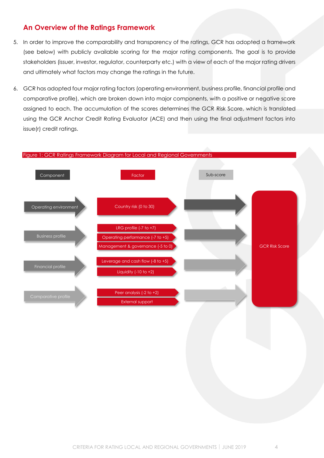# **An Overview of the Ratings Framework**

- 5. In order to improve the comparability and transparency of the ratings, GCR has adopted a framework (see [below\)](#page-3-0) with publicly available scoring for the major rating components. The goal is to provide stakeholders (issuer, investor, regulator, counterparty etc.) with a view of each of the major rating drivers and ultimately what factors may change the ratings in the future.
- 6. GCR has adopted four major rating factors (operating environment, business profile, financial profile and comparative profile), which are broken down into major components, with a positive or negative score assigned to each. The accumulation of the scores determines the GCR Risk Score, which is translated using the GCR Anchor Credit Rating Evaluator (ACE) and then using the final adjustment factors into issue(r) credit ratings.

<span id="page-3-0"></span>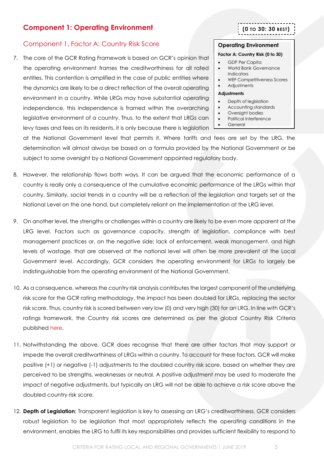# <span id="page-4-0"></span>**Component 1: Operating Environment**

# <span id="page-4-1"></span>Component 1, Factor A: Country Risk Score

7. The core of the GCR Rating Framework is based on GCR's opinion that the operating environment frames the creditworthiness for all rated entities. This contention is amplified in the case of public entities where the dynamics are likely to be a direct reflection of the overall operating environment in a country. While LRGs may have substantial operating independence, this independence is framed within the overarching legislative environment of a country. Thus, to the extent that LRGs can levy taxes and fees on its residents, it is only because there is legislation **(0 TO 30: 30 BEST)**

### **Operating Environment**

#### **Factor A: Country Risk (0 to 30)**

- GDP Per Capita
- World Bank Governance **Indicators**
- WEF Competitiveness Scores
- Adjustments

### **Adjustments**

- Depth of legislation
- Accounting standards
- Oversight bodies
- Political interference
- General

at the National Government level that permits it. Where tariffs and fees are set by the LRG, the determination will almost always be based on a formula provided by the National Government or be subject to some oversight by a National Government appointed regulatory body.

- 8. However, the relationship flows both ways. It can be argued that the economic performance of a country is really only a consequence of the cumulative economic performance of the LRGs within that country. Similarly, social trends in a country will be a reflection of the legislation and targets set at the National Level on the one hand, but completely reliant on the implementation at the LRG level.
- 9. On another level, the strengths or challenges within a country are likely to be even more apparent at the LRG level. Factors such as governance capacity, strength of legislation, compliance with best management practices or, on the negative side; lack of enforcement, weak management, and high levels of wastage, that are observed at the national level will often be more prevalent at the Local Government level. Accordingly, GCR considers the operating environment for LRGs to largely be indistinguishable from the operating environment of the National Government.
- 10. As a consequence, whereas the country risk analysis contributes the largest component of the underlying risk score for the GCR rating methodology, the impact has been doubled for LRGs, replacing the sector risk score. Thus, country risk is scored between very low (0) and very high (30) for an LRG. In line with GCR's ratings framework, the Country risk scores are determined as per the global Country Risk Criteria published [here.](http://gcrratings.com/criteria)
- 11. Notwithstanding the above, GCR does recognise that there are other factors that may support or impede the overall creditworthiness of LRGs within a country. To account for these factors, GCR will make positive (+1) or negative (-1) adjustments to the doubled country risk score, based on whether they are perceived to be strengths, weaknesses or neutral. A positive adjustment may be used to moderate the impact of negative adjustments, but typically an LRG will not be able to achieve a risk score above the doubled country risk score.
- 12. **Depth of Legislation**: Transparent legislation is key to assessing an LRG's creditworthiness. GCR considers robust legislation to be legislation that most appropriately reflects the operating conditions in the environment, enables the LRG to fulfil its key responsibilities and provides sufficient flexibility to respond to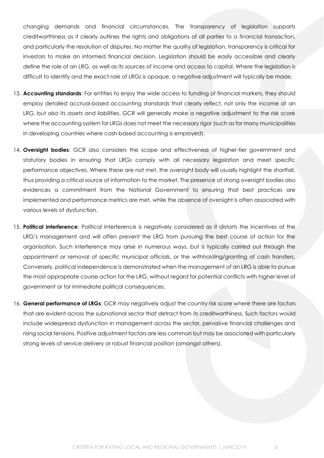changing demands and financial circumstances. The transparency of legislation supports creditworthiness as it clearly outlines the rights and obligations of all parties to a financial transaction, and particularly the resolution of disputes. No matter the quality of legislation, transparency is critical for investors to make an informed financial decision. Legislation should be easily accessible and clearly define the role of an LRG, as well as its sources of income and access to capital. Where the legislation is difficult to identify and the exact role of LRGs is opaque, a negative adjustment will typically be made.

- 13. **Accounting standards**: For entities to enjoy the wide access to funding of financial markets, they should employ detailed accrual-based accounting standards that clearly reflect, not only the income of an LRG, but also its assets and liabilities. GCR will generally make a negative adjustment to the risk score where the accounting system for LRGs does not meet the necessary rigor (such as for many municipalities in developing countries where cash-based accounting is employed).
- 14. **Oversight bodies**: GCR also considers the scope and effectiveness of higher-tier government and statutory bodies in ensuring that LRGs comply with all necessary legislation and meet specific performance objectives. Where these are not met, the oversight body will usually highlight the shortfall, thus providing a critical source of information to the market. The presence of strong oversight bodies also evidences a commitment from the National Government to ensuring that best practices are implemented and performance metrics are met, while the absence of oversight is often associated with various levels of dysfunction.
- 15. **Political interference**: Political interference is negatively considered as it distorts the incentives of the LRG's management and will often prevent the LRG from pursuing the best course of action for the organisation. Such interference may arise in numerous ways, but is typically carried out through the appointment or removal of specific municipal officials, or the withholding/granting of cash transfers. Conversely, political independence is demonstrated when the management of an LRG is able to pursue the most appropriate course action for the LRG, without regard for potential conflicts with higher level of government or for immediate political consequences.
- 16. **General performance of LRGs**: GCR may negatively adjust the country risk score where there are factors that are evident across the subnational sector that detract from its creditworthiness. Such factors would include widespread dysfunction in management across the sector, pervasive financial challenges and rising social tensions. Positive adjustment factors are less common but may be associated with particularly strong levels of service delivery or robust financial position (amongst others).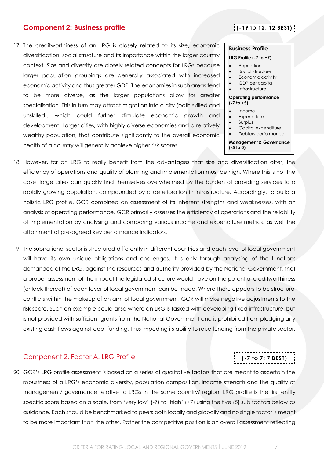# <span id="page-6-0"></span>**Component 2: Business profile**

17. The creditworthiness of an LRG is closely related to its size, economic diversification, social structure and its importance within the larger country context. Size and diversity are closely related concepts for LRGs because larger population groupings are generally associated with increased economic activity and thus greater GDP. The economies in such areas tend to be more diverse, as the larger populations allow for greater specialisation. This in turn may attract migration into a city (both skilled and unskilled), which could further stimulate economic growth and development. Larger cities, with highly diverse economies and a relatively wealthy population, that contribute significantly to the overall economic health of a country will generally achieve higher risk scores.

# **(-19 TO 12: 12 BEST)**

### **Business Profile**

#### **LRG Profile (-7 to +7)**

- **Population**
- Social Structure
- Economic activity
- GDP per capita
- **Infrastructure**

#### **Operating performance (-7 to +5)**

- Income
	- **Expenditure**
- Surplus
- Capital expenditure
- Debtors performance

#### **Management & Governance (-5 to 0)**

- 18. However, for an LRG to really benefit from the advantages that size and diversification offer, the efficiency of operations and quality of planning and implementation must be high. Where this is not the case, large cities can quickly find themselves overwhelmed by the burden of providing services to a rapidly growing population, compounded by a deterioration in infrastructure. Accordingly, to build a holistic LRG profile, GCR combined an assessment of its inherent strengths and weaknesses, with an analysis of operating performance. GCR primarily assesses the efficiency of operations and the reliability of implementation by analysing and comparing various income and expenditure metrics, as well the attainment of pre-agreed key performance indicators.
- 19. The subnational sector is structured differently in different countries and each level of local government will have its own unique obligations and challenges. It is only through analysing of the functions demanded of the LRG, against the resources and authority provided by the National Government, that a proper assessment of the impact the legislated structure would have on the potential creditworthiness (or lack thereof) of each layer of local government can be made. Where there appears to be structural conflicts within the makeup of an arm of local government, GCR will make negative adjustments to the risk score. Such an example could arise where an LRG is tasked with developing fixed infrastructure, but is not provided with sufficient grants from the National Government and is prohibited from pledging any existing cash flows against debt funding, thus impeding its ability to raise funding from the private sector.

### <span id="page-6-1"></span>Component 2, Factor A: LRG Profile

20. GCR's LRG profile assessment is based on a series of qualitative factors that are meant to ascertain the robustness of a LRG's economic diversity, population composition, income strength and the quality of management/ governance relative to LRGs in the same country/ region. LRG profile is the first entity specific score based on a scale, from 'very low' (-7) to 'high' (+7) using the five (5) sub factors below as guidance. Each should be benchmarked to peers both locally and globally and no single factor is meant to be more important than the other. Rather the competitive position is an overall assessment reflecting

**(-7 TO 7: 7 BEST)**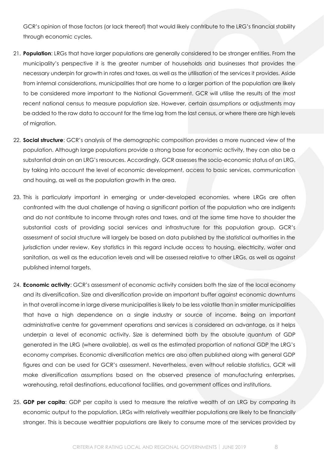GCR's opinion of those factors (or lack thereof) that would likely contribute to the LRG's financial stability through economic cycles.

- 21. **Population**: LRGs that have larger populations are generally considered to be stronger entities. From the municipality's perspective it is the greater number of households and businesses that provides the necessary underpin for growth in rates and taxes, as well as the utilisation of the services it provides. Aside from internal considerations, municipalities that are home to a larger portion of the population are likely to be considered more important to the National Government. GCR will utilise the results of the most recent national census to measure population size. However, certain assumptions or adjustments may be added to the raw data to account for the time lag from the last census, or where there are high levels of migration.
- 22. **Social structure**: GCR's analysis of the demographic composition provides a more nuanced view of the population. Although large populations provide a strong base for economic activity, they can also be a substantial drain on an LRG's resources. Accordingly, GCR assesses the socio-economic status of an LRG, by taking into account the level of economic development, access to basic services, communication and housing, as well as the population growth in the area.
- 23. This is particularly important in emerging or under-developed economies, where LRGs are often confronted with the dual challenge of having a significant portion of the population who are indigents and do not contribute to income through rates and taxes, and at the same time have to shoulder the substantial costs of providing social services and infrastructure for this population group. GCR's assessment of social structure will largely be based on data published by the statistical authorities in the jurisdiction under review. Key statistics in this regard include access to housing, electricity, water and sanitation, as well as the education levels and will be assessed relative to other LRGs, as well as against published internal targets.
- 24. **Economic activity**: GCR's assessment of economic activity considers both the size of the local economy and its diversification. Size and diversification provide an important buffer against economic downturns in that overall income in large diverse municipalities is likely to be less volatile than in smaller municipalities that have a high dependence on a single industry or source of income. Being an important administrative centre for government operations and services is considered an advantage, as it helps underpin a level of economic activity. Size is determined both by the absolute quantum of GDP generated in the LRG (where available), as well as the estimated proportion of national GDP the LRG's economy comprises. Economic diversification metrics are also often published along with general GDP figures and can be used for GCR's assessment. Nevertheless, even without reliable statistics, GCR will make diversification assumptions based on the observed presence of manufacturing enterprises, warehousing, retail destinations, educational facilities, and government offices and institutions.
- 25. **GDP per capita**: GDP per capita is used to measure the relative wealth of an LRG by comparing its economic output to the population. LRGs with relatively wealthier populations are likely to be financially stronger. This is because wealthier populations are likely to consume more of the services provided by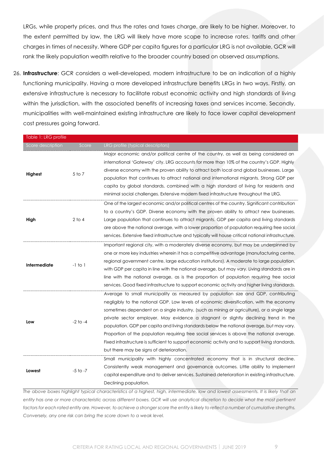LRGs, while property prices, and thus the rates and taxes charge, are likely to be higher. Moreover, to the extent permitted by law, the LRG will likely have more scope to increase rates, tariffs and other charges in times of necessity. Where GDP per capita figures for a particular LRG is not available, GCR will rank the likely population wealth relative to the broader country based on observed assumptions.

26. **Infrastructure**: GCR considers a well-developed, modern infrastructure to be an indication of a highly functioning municipality. Having a more developed infrastructure benefits LRGs in two ways. Firstly, an extensive infrastructure is necessary to facilitate robust economic activity and high standards of living within the jurisdiction, with the associated benefits of increasing taxes and services income. Secondly, municipalities with well-maintained existing infrastructure are likely to face lower capital development cost pressures going forward.

| Table 1: LRG profile |              |                                                                                                                                                                                                                                                                                                                                                                                                                                                                                                                                                                                                                                                                                                                  |
|----------------------|--------------|------------------------------------------------------------------------------------------------------------------------------------------------------------------------------------------------------------------------------------------------------------------------------------------------------------------------------------------------------------------------------------------------------------------------------------------------------------------------------------------------------------------------------------------------------------------------------------------------------------------------------------------------------------------------------------------------------------------|
| Score description    | Score        | LRG profile (typical descriptors)                                                                                                                                                                                                                                                                                                                                                                                                                                                                                                                                                                                                                                                                                |
| Highest              | 5 to 7       | Major economic and/or political centre of the country, as well as being considered an<br>international 'Gateway' city. LRG accounts for more than 10% of the country's GDP. Highly<br>diverse economy with the proven ability to attract both local and global businesses. Large<br>population that continues to attract national and international migrants. Strong GDP per<br>capita by global standards, combined with a high standard of living for residents and<br>minimal social challenges. Extensive modern fixed infrastructure throughout the LRG.                                                                                                                                                    |
| High                 | $2$ to 4     | One of the largest economic and/or political centres of the country. Significant contribution<br>to a country's GDP. Diverse economy with the proven ability to attract new businesses.<br>Large population that continues to attract migrants. GDP per capita and living standards<br>are above the national average, with a lower proportion of population requiring free social<br>services. Extensive fixed infrastructure and typically will house critical national infrastructure.                                                                                                                                                                                                                        |
| <b>Intermediate</b>  | $-1$ to $1$  | Important regional city, with a moderately diverse economy, but may be underpinned by<br>one or more key industries wherein it has a competitive advantage (manufacturing centre,<br>regional government centre, large education institutions). A moderate to large population,<br>with GDP per capita in line with the national average, but may vary. Living standards are in<br>line with the national average, as is the proportion of population requiring free social<br>services. Good fixed infrastructure to support economic activity and higher living standards.                                                                                                                                     |
| Low                  | $-2$ to $-4$ | Average to small municipality as measured by population size and GDP, contributing<br>negligibly to the national GDP. Low levels of economic diversification, with the economy<br>sometimes dependent on a single industry, (such as mining or agriculture), or a single large<br>private sector employer. May evidence a stagnant or slightly declining trend in the<br>population. GDP per capita and living standards below the national average, but may vary.<br>Proportion of the population requiring free social services is above the national average.<br>Fixed infrastructure is sufficient to support economic activity and to support living standards,<br>but there may be signs of deterioration. |
| Lowest               | $-5$ to $-7$ | Small municipality with highly concentrated economy that is in structural decline.<br>Consistently weak management and governance outcomes. Little ability to implement<br>capital expenditure and to deliver services. Sustained deterioration in existing infrastructure.<br>Declining population.                                                                                                                                                                                                                                                                                                                                                                                                             |

*The above boxes highlight typical characteristics of a highest, high, intermediate, low and lowest assessments. It is likely that an entity has one or more characteristic across different boxes. GCR will use analytical discretion to decide what the most pertinent factors for each rated entity are. However, to achieve a stronger score the entity is likely to reflect a number of cumulative strengths. Conversely, any one risk can bring the score down to a weak level.*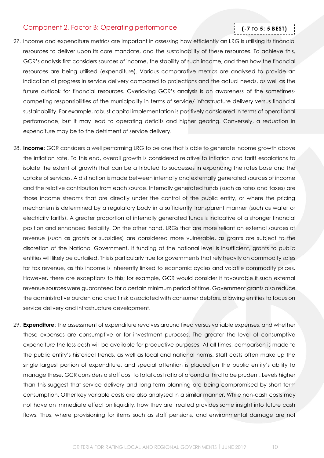### <span id="page-9-0"></span>Component 2, Factor B: Operating performance

# **(-7 TO 5: 5 BEST)**

- 27. Income and expenditure metrics are important in assessing how efficiently an LRG is utilising its financial resources to deliver upon its core mandate, and the sustainability of these resources. To achieve this, GCR's analysis first considers sources of income, the stability of such income, and then how the financial resources are being utilised (expenditure). Various comparative metrics are analysed to provide an indication of progress in service delivery compared to projections and the actual needs, as well as the future outlook for financial resources. Overlaying GCR's analysis is an awareness of the sometimescompeting responsibilities of the municipality in terms of service/ infrastructure delivery versus financial sustainability. For example, robust capital implementation is positively considered in terms of operational performance, but it may lead to operating deficits and higher gearing. Conversely, a reduction in expenditure may be to the detriment of service delivery.
- 28. **Income**: GCR considers a well performing LRG to be one that is able to generate income growth above the inflation rate. To this end, overall growth is considered relative to inflation and tariff escalations to isolate the extent of growth that can be attributed to successes in expanding the rates base and the uptake of services. A distinction is made between internally and externally generated sources of income and the relative contribution from each source. Internally generated funds (such as rates and taxes) are those income streams that are directly under the control of the public entity, or where the pricing mechanism is determined by a regulatory body in a sufficiently transparent manner (such as water or electricity tariffs). A greater proportion of internally generated funds is indicative of a stronger financial position and enhanced flexibility. On the other hand, LRGs that are more reliant on external sources of revenue (such as grants or subsidies) are considered more vulnerable, as grants are subject to the discretion of the National Government. If funding at the national level is insufficient, grants to public entities will likely be curtailed. This is particularly true for governments that rely heavily on commodity sales for tax revenue, as this income is inherently linked to economic cycles and volatile commodity prices. However, there are exceptions to this; for example, GCR would consider it favourable if such external revenue sources were guaranteed for a certain minimum period of time. Government grants also reduce the administrative burden and credit risk associated with consumer debtors, allowing entities to focus on service delivery and infrastructure development.
- 29. **Expenditure**: The assessment of expenditure revolves around fixed versus variable expenses, and whether these expenses are consumptive or for investment purposes. The greater the level of consumptive expenditure the less cash will be available for productive purposes. At all times, comparison is made to the public entity's historical trends, as well as local and national norms. Staff costs often make up the single largest portion of expenditure, and special attention is placed on the public entity's ability to manage these. GCR considers a staff cost to total cost ratio of around a third to be prudent. Levels higher than this suggest that service delivery and long-term planning are being compromised by short term consumption. Other key variable costs are also analysed in a similar manner. While non-cash costs may not have an immediate effect on liquidity, how they are treated provides some insight into future cash flows. Thus, where provisioning for items such as staff pensions, and environmental damage are not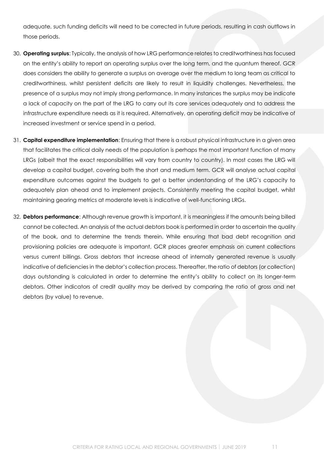adequate, such funding deficits will need to be corrected in future periods, resulting in cash outflows in those periods.

- 30. **Operating surplus**: Typically, the analysis of how LRG performance relates to creditworthiness has focused on the entity's ability to report an operating surplus over the long term, and the quantum thereof. GCR does considers the ability to generate a surplus on average over the medium to long team as critical to creditworthiness, whilst persistent deficits are likely to result in liquidity challenges. Nevertheless, the presence of a surplus may not imply strong performance. In many instances the surplus may be indicate a lack of capacity on the part of the LRG to carry out its core services adequately and to address the infrastructure expenditure needs as it is required. Alternatively, an operating deficit may be indicative of increased investment or service spend in a period.
- 31. **Capital expenditure implementation**: Ensuring that there is a robust physical infrastructure in a given area that facilitates the critical daily needs of the population is perhaps the most important function of many LRGs (albeit that the exact responsibilities will vary from country to country). In most cases the LRG will develop a capital budget, covering both the short and medium term. GCR will analyse actual capital expenditure outcomes against the budgets to get a better understanding of the LRG's capacity to adequately plan ahead and to implement projects. Consistently meeting the capital budget, whilst maintaining gearing metrics at moderate levels is indicative of well-functioning LRGs.
- 32. **Debtors performance**: Although revenue growth is important, it is meaningless if the amounts being billed cannot be collected. An analysis of the actual debtors book is performed in order to ascertain the quality of the book, and to determine the trends therein. While ensuring that bad debt recognition and provisioning policies are adequate is important, GCR places greater emphasis on current collections versus current billings. Gross debtors that increase ahead of internally generated revenue is usually indicative of deficiencies in the debtor's collection process. Thereafter, the ratio of debtors (or collection) days outstanding is calculated in order to determine the entity's ability to collect on its longer-term debtors. Other indicators of credit quality may be derived by comparing the ratio of gross and net debtors (by value) to revenue.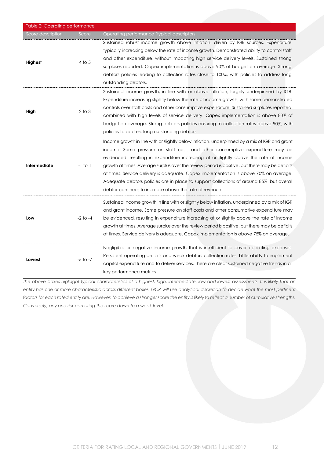| Table 2: Operating performance |              |                                                                                                                                                                                                                                                                                                                                                                                                                                                                                                                                                                                                                            |
|--------------------------------|--------------|----------------------------------------------------------------------------------------------------------------------------------------------------------------------------------------------------------------------------------------------------------------------------------------------------------------------------------------------------------------------------------------------------------------------------------------------------------------------------------------------------------------------------------------------------------------------------------------------------------------------------|
| Score description              | Score        | Operating performance (typical descriptors)                                                                                                                                                                                                                                                                                                                                                                                                                                                                                                                                                                                |
| Highest                        | $4$ to $5$   | Sustained robust income growth above inflation, driven by IGR sources. Expenditure<br>typically increasing below the rate of income growth. Demonstrated ability to control staff<br>and other expenditure, without impacting high service delivery levels. Sustained strong<br>surpluses reported. Capex implementation is above 90% of budget on average. Strong<br>debtors policies leading to collection rates close to 100%, with policies to address long<br>outstanding debtors.                                                                                                                                    |
| High                           | $2$ to $3$   | Sustained income growth, in line with or above inflation, largely underpinned by IGR.<br>Expenditure increasing slightly below the rate of income growth, with some demonstrated<br>controls over staff costs and other consumptive expenditure. Sustained surpluses reported,<br>combined with high levels of service delivery. Capex implementation is above 80% of<br>budget on average. Strong debtors policies ensuring to collection rates above 90%, with<br>policies to address long outstanding debtors.                                                                                                          |
| <b>Intermediate</b>            | $-1$ to $1$  | Income growth in line with or slightly below inflation, underpinned by a mix of IGR and grant<br>income. Some pressure on staff costs and other consumptive expenditure may be<br>evidenced, resulting in expenditure increasing at or slightly above the rate of income<br>growth at times. Average surplus over the review period is positive, but there may be deficits<br>at times. Service delivery is adequate. Capex implementation is above 70% on average.<br>Adequate debtors policies are in place to support collections of around 85%, but overall<br>debtor continues to increase above the rate of revenue. |
| Low                            | $-2$ to $-4$ | Sustained Income growth in line with or slightly below inflation, underpinned by a mix of IGR<br>and grant income. Some pressure on staff costs and other consumptive expenditure may<br>be evidenced, resulting in expenditure increasing at or slightly above the rate of income<br>growth at times. Average surplus over the review period is positive, but there may be deficits<br>at times. Service delivery is adequate. Capex implementation is above 75% on average.                                                                                                                                              |
| Lowest                         | $-5$ to $-7$ | Negligible or negative income growth that is insufficient to cover operating expenses.<br>Persistent operating deficits and weak debtors collection rates. Little ability to implement<br>capital expenditure and to deliver services. There are clear sustained negative trends in all<br>key performance metrics.                                                                                                                                                                                                                                                                                                        |

<span id="page-11-0"></span>*The above boxes highlight typical characteristics of a highest, high, intermediate, low and lowest assessments. It is likely that an entity has one or more characteristic across different boxes. GCR will use analytical discretion to decide what the most pertinent factors for each rated entity are. However, to achieve a stronger score the entity is likely to reflect a number of cumulative strengths. Conversely, any one risk can bring the score down to a weak level.*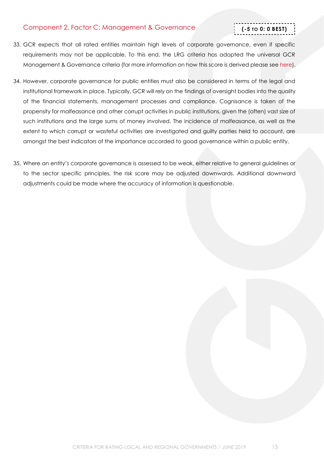# Component 2, Factor C: Management & Governance

# **(-5 TO 0: 0 BEST)**

- 33. GCR expects that all rated entities maintain high levels of corporate governance, even if specific requirements may not be applicable. To this end, the LRG criteria has adopted the universal GCR Management & Governance criteria (for more information on how this score is derived please se[e here\)](http://gcrratings.com/criteria).
- 34. However, corporate governance for public entities must also be considered in terms of the legal and institutional framework in place. Typically, GCR will rely on the findings of oversight bodies into the quality of the financial statements, management processes and compliance. Cognisance is taken of the propensity for malfeasance and other corrupt activities in public institutions, given the (often) vast size of such institutions and the large sums of money involved. The incidence of malfeasance, as well as the extent to which corrupt or wasteful activities are investigated and guilty parties held to account, are amongst the best indicators of the importance accorded to good governance within a public entity.
- 35. Where an entity's corporate governance is assessed to be weak, either relative to general guidelines or to the sector specific principles, the risk score may be adjusted downwards. Additional downward adjustments could be made where the accuracy of information is questionable.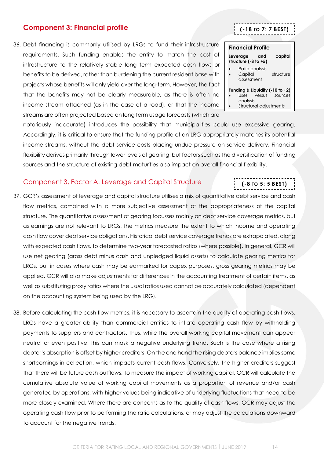# <span id="page-13-0"></span>**Component 3: Financial profile**

36. Debt financing is commonly utilised by LRGs to fund their infrastructure requirements. Such funding enables the entity to match the cost of infrastructure to the relatively stable long term expected cash flows or benefits to be derived, rather than burdening the current resident base with projects whose benefits will only yield over the long-term. However, the fact that the benefits may not be clearly measurable, as there is often no income stream attached (as in the case of a road), or that the income streams are often projected based on long term usage forecasts (which are

notoriously inaccurate) introduces the possibility that municipalities could use excessive gearing. Accordingly, it is critical to ensure that the funding profile of an LRG appropriately matches its potential income streams, without the debt service costs placing undue pressure on service delivery. Financial flexibility derives primarily through lower levels of gearing, but factors such as the diversification of funding sources and the structure of existing debt maturities also impact on overall financial flexibility.

# <span id="page-13-1"></span>Component 3, Factor A: Leverage and Capital Structure

- 37. GCR's assessment of leverage and capital structure utilises a mix of quantitative debt service and cash flow metrics, combined with a more subjective assessment of the appropriateness of the capital structure. The quantitative assessment of gearing focusses mainly on debt service coverage metrics, but as earnings are not relevant to LRGs, the metrics measure the extent to which income and operating cash flow cover debt service obligations. Historical debt service coverage trends are extrapolated, along with expected cash flows, to determine two-year forecasted ratios (where possible). In general, GCR will use net gearing (gross debt minus cash and unpledged liquid assets) to calculate gearing metrics for LRGs, but in cases where cash may be earmarked for capex purposes, gross gearing metrics may be applied. GCR will also make adjustments for differences in the accounting treatment of certain items, as well as substituting proxy ratios where the usual ratios used cannot be accurately calculated (dependent on the accounting system being used by the LRG).
- 38. Before calculating the cash flow metrics, it is necessary to ascertain the quality of operating cash flows. LRGs have a greater ability than commercial entities to inflate operating cash flow by withholding payments to suppliers and contractors. Thus, while the overall working capital movement can appear neutral or even positive, this can mask a negative underlying trend. Such is the case where a rising debtor's absorption is offset by higher creditors. On the one hand the rising debtors balance implies some shortcomings in collection, which impacts current cash flows. Conversely, the higher creditors suggest that there will be future cash outflows. To measure the impact of working capital, GCR will calculate the cumulative absolute value of working capital movements as a proportion of revenue and/or cash generated by operations, with higher values being indicative of underlying fluctuations that need to be more closely examined. Where there are concerns as to the quality of cash flows, GCR may adjust the operating cash flow prior to performing the ratio calculations, or may adjust the calculations downward to account for the negative trends.

| <b>Financial Profile</b>                  |                        |                                                       |  |
|-------------------------------------------|------------------------|-------------------------------------------------------|--|
| Leverage and<br>structure $(-8)$ to $+5)$ |                        | capital                                               |  |
| Capital<br>assessment                     | Ratio analysis         | structure                                             |  |
| analysis                                  | Uses versus            | Funding & Liquidity $(-10 \text{ to } +2)$<br>sources |  |
|                                           | Structural adjustments |                                                       |  |

**(-8 TO 5: 5 BEST)**

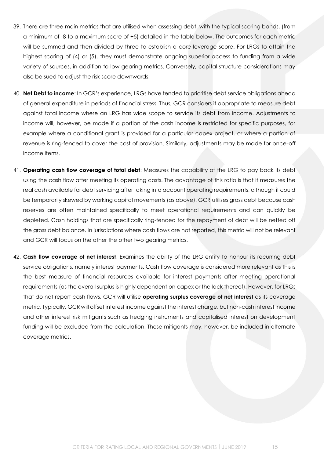- 39. There are three main metrics that are utilised when assessing debt, with the typical scoring bands, (from a minimum of -8 to a maximum score of +5) detailed in the table below. The outcomes for each metric will be summed and then divided by three to establish a core leverage score. For LRGs to attain the highest scoring of (4) or (5), they must demonstrate ongoing superior access to funding from a wide variety of sources, in addition to low gearing metrics. Conversely, capital structure considerations may also be sued to adjust the risk score downwards.
- 40. **Net Debt to income**: In GCR's experience, LRGs have tended to prioritise debt service obligations ahead of general expenditure in periods of financial stress. Thus, GCR considers it appropriate to measure debt against total income where an LRG has wide scope to service its debt from income. Adjustments to income will, however, be made if a portion of the cash income is restricted for specific purposes, for example where a conditional grant is provided for a particular capex project, or where a portion of revenue is ring-fenced to cover the cost of provision. Similarly, adjustments may be made for once-off income items.
- 41. **Operating cash flow coverage of total debt**: Measures the capability of the LRG to pay back its debt using the cash flow after meeting its operating costs. The advantage of this ratio is that it measures the real cash available for debt servicing after taking into account operating requirements, although it could be temporarily skewed by working capital movements (as above). GCR utilises gross debt because cash reserves are often maintained specifically to meet operational requirements and can quickly be depleted. Cash holdings that are specifically ring-fenced for the repayment of debt will be netted off the gross debt balance. In jurisdictions where cash flows are not reported, this metric will not be relevant and GCR will focus on the other the other two gearing metrics.
- 42. **Cash flow coverage of net interest**: Examines the ability of the LRG entity to honour its recurring debt service obligations, namely interest payments. Cash flow coverage is considered more relevant as this is the best measure of financial resources available for interest payments after meeting operational requirements (as the overall surplus is highly dependent on capex or the lack thereof). However, for LRGs that do not report cash flows, GCR will utilise **operating surplus coverage of net interest** as its coverage metric. Typically, GCR will offset interest income against the interest charge, but non-cash interest income and other interest risk mitigants such as hedging instruments and capitalised interest on development funding will be excluded from the calculation. These mitigants may, however, be included in alternate coverage metrics.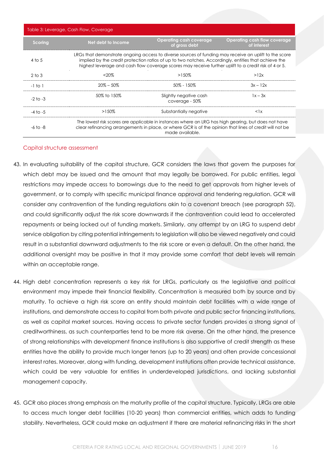| Table 3: Leverage, Cash Flow, Coverage |                    |                                                                                                                                                                                                                                                                                                                        |                                             |
|----------------------------------------|--------------------|------------------------------------------------------------------------------------------------------------------------------------------------------------------------------------------------------------------------------------------------------------------------------------------------------------------------|---------------------------------------------|
| <b>Scoring</b>                         | Net debt to Income | <b>Operating cash coverage</b><br>of gross debt                                                                                                                                                                                                                                                                        | Operating cash flow coverage<br>of interest |
| $4$ to 5                               |                    | LRGs that demonstrate ongoing access to diverse sources of funding may receive an uplift to the score<br>implied by the credit protection ratios of up to two notches. Accordingly, entities that achieve the<br>highest leverage and cash flow coverage scores may receive further uplift to a credit risk of 4 or 5. |                                             |
| $2$ to $3$                             | $< 20\%$           | $>150\%$                                                                                                                                                                                                                                                                                                               | >12x                                        |
| $-1$ to 1                              | $20\% - 50\%$      | $50\% - 150\%$                                                                                                                                                                                                                                                                                                         | $3x - 12x$                                  |
| $-2$ to $-3$                           | 50% to 150%        | Slightly negative cash<br>coverage - 50%                                                                                                                                                                                                                                                                               | $1x - 3x$                                   |
| $-4$ to $-5$                           | $>150\%$           | Substantially negative                                                                                                                                                                                                                                                                                                 | $\langle$ lx                                |
| $-6$ to $-8$                           |                    | The lowest risk scores are applicable in instances where an LRG has high gearing, but does not have<br>clear refinancing arrangements in place, or where GCR is of the opinion that lines of credit will not be<br>made available.                                                                                     |                                             |

#### Capital structure assessment

- 43. In evaluating suitability of the capital structure, GCR considers the laws that govern the purposes for which debt may be issued and the amount that may legally be borrowed. For public entities, legal restrictions may impede access to borrowings due to the need to get approvals from higher levels of government, or to comply with specific municipal finance approval and tendering regulation. GCR will consider any contravention of the funding regulations akin to a covenant breach (see paragraph [52\)](#page-18-0), and could significantly adjust the risk score downwards if the contravention could lead to accelerated repayments or being locked out of funding markets. Similarly, any attempt by an LRG to suspend debt service obligation by citing potential infringements to legislation will also be viewed negatively and could result in a substantial downward adjustments to the risk score or even a default. On the other hand, the additional oversight may be positive in that it may provide some comfort that debt levels will remain within an acceptable range.
- 44. High debt concentration represents a key risk for LRGs, particularly as the legislative and political environment may impede their financial flexibility. Concentration is measured both by source and by maturity. To achieve a high risk score an entity should maintain debt facilities with a wide range of institutions, and demonstrate access to capital from both private and public sector financing institutions, as well as capital market sources. Having access to private sector funders provides a strong signal of creditworthiness, as such counterparties tend to be more risk averse. On the other hand, the presence of strong relationships with development finance institutions is also supportive of credit strength as these entities have the ability to provide much longer tenors (up to 20 years) and often provide concessional interest rates. Moreover, along with funding, development institutions often provide technical assistance, which could be very valuable for entities in underdeveloped jurisdictions, and lacking substantial management capacity.
- 45. GCR also places strong emphasis on the maturity profile of the capital structure. Typically, LRGs are able to access much longer debt facilities (10-20 years) than commercial entities, which adds to funding stability. Nevertheless, GCR could make an adjustment if there are material refinancing risks in the short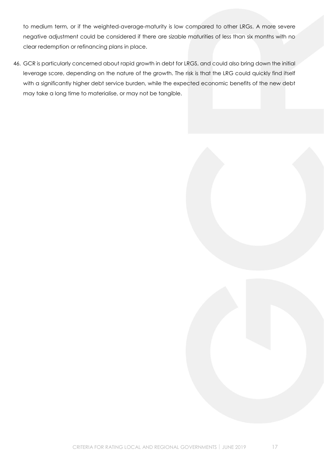to medium term, or if the weighted-average-maturity is low compared to other LRGs. A more severe negative adjustment could be considered if there are sizable maturities of less than six months with no clear redemption or refinancing plans in place.

46. GCR is particularly concerned about rapid growth in debt for LRGS, and could also bring down the initial leverage score, depending on the nature of the growth. The risk is that the LRG could quickly find itself with a significantly higher debt service burden, while the expected economic benefits of the new debt may take a long time to materialise, or may not be tangible.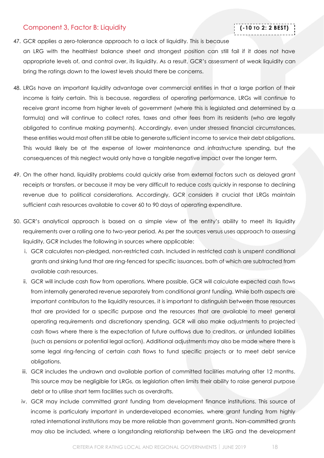### <span id="page-17-0"></span>Component 3, Factor B: Liquidity

# **(-10 TO 2: 2 BEST)**

### 47. GCR applies a zero-tolerance approach to a lack of liquidity. This is because

an LRG with the healthiest balance sheet and strongest position can still fail if it does not have appropriate levels of, and control over, its liquidity. As a result, GCR's assessment of weak liquidity can bring the ratings down to the lowest levels should there be concerns.

- 48. LRGs have an important liquidity advantage over commercial entities in that a large portion of their income is fairly certain. This is because, regardless of operating performance, LRGs will continue to receive grant income from higher levels of government (where this is legislated and determined by a formula) and will continue to collect rates, taxes and other fees from its residents (who are legally obligated to continue making payments). Accordingly, even under stressed financial circumstances, these entities would most often still be able to generate sufficient income to service their debt obligations. This would likely be at the expense of lower maintenance and infrastructure spending, but the consequences of this neglect would only have a tangible negative impact over the longer term.
- 49. On the other hand, liquidity problems could quickly arise from external factors such as delayed grant receipts or transfers, or because it may be very difficult to reduce costs quickly in response to declining revenue due to political considerations. Accordingly, GCR considers it crucial that LRGs maintain sufficient cash resources available to cover 60 to 90 days of operating expenditure.
- 50. GCR's analytical approach is based on a simple view of the entity's ability to meet its liquidity requirements over a rolling one to two-year period. As per the sources versus uses approach to assessing liquidity, GCR includes the following in sources where applicable:
	- i. GCR calculates non-pledged, non-restricted cash. Included in restricted cash is unspent conditional grants and sinking fund that are ring-fenced for specific issuances, both of which are subtracted from available cash resources.
	- ii. GCR will include cash flow from operations. Where possible, GCR will calculate expected cash flows from internally generated revenue separately from conditional grant funding. While both aspects are important contributors to the liquidity resources, it is important to distinguish between those resources that are provided for a specific purpose and the resources that are available to meet general operating requirements and discretionary spending. GCR will also make adjustments to projected cash flows where there is the expectation of future outflows due to creditors, or unfunded liabilities (such as pensions or potential legal action). Additional adjustments may also be made where there is some legal ring-fencing of certain cash flows to fund specific projects or to meet debt service obligations.
	- iii. GCR includes the undrawn and available portion of committed facilities maturing after 12 months. This source may be negligible for LRGs, as legislation often limits their ability to raise general purpose debt or to utilise short term facilities such as overdrafts.
	- iv. GCR may include committed grant funding from development finance institutions. This source of income is particularly important in underdeveloped economies, where grant funding from highly rated international institutions may be more reliable than government grants. Non-committed grants may also be included, where a longstanding relationship between the LRG and the development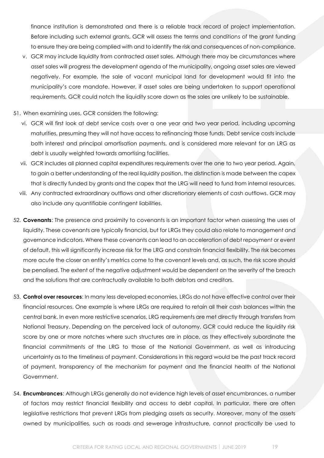finance institution is demonstrated and there is a reliable track record of project implementation. Before including such external grants, GCR will assess the terms and conditions of the grant funding to ensure they are being complied with and to identify the risk and consequences of non-compliance.

- v. GCR may include liquidity from contracted asset sales. Although there may be circumstances where asset sales will progress the development agenda of the municipality, ongoing asset sales are viewed negatively. For example, the sale of vacant municipal land for development would fit into the municipality's core mandate. However, if asset sales are being undertaken to support operational requirements, GCR could notch the liquidity score down as the sales are unlikely to be sustainable.
- 51. When examining uses, GCR considers the following:
	- vi. GCR will first look at debt service costs over a one year and two year period, including upcoming maturities, presuming they will not have access to refinancing those funds. Debt service costs include both interest and principal amortisation payments, and is considered more relevant for an LRG as debt is usually weighted towards amortising facilities.
	- vii. GCR includes all planned capital expenditures requirements over the one to two year period. Again, to gain a better understanding of the real liquidity position, the distinction is made between the capex that is directly funded by grants and the capex that the LRG will need to fund from internal resources.
	- viii. Any contracted extraordinary outflows and other discretionary elements of cash outflows. GCR may also include any quantifiable contingent liabilities.
- <span id="page-18-0"></span>52. **Covenants**: The presence and proximity to covenants is an important factor when assessing the uses of liquidity. These covenants are typically financial, but for LRGs they could also relate to management and governance indicators. Where these covenants can lead to an acceleration of debt repayment or event of default, this will significantly increase risk for the LRG and constrain financial flexibility. The risk becomes more acute the closer an entity's metrics come to the covenant levels and, as such, the risk score should be penalised. The extent of the negative adjustment would be dependent on the severity of the breach and the solutions that are contractually available to both debtors and creditors.
- 53. **Control over resources**: In many less developed economies, LRGs do not have effective control over their financial resources. One example is where LRGs are required to retain all their cash balances within the central bank. In even more restrictive scenarios, LRG requirements are met directly through transfers from National Treasury. Depending on the perceived lack of autonomy, GCR could reduce the liquidity risk score by one or more notches where such structures are in place, as they effectively subordinate the financial commitments of the LRG to those of the National Government, as well as introducing uncertainty as to the timeliness of payment. Considerations in this regard would be the past track record of payment, transparency of the mechanism for payment and the financial health of the National Government.
- 54. **Encumbrances**: Although LRGs generally do not evidence high levels of asset encumbrances, a number of factors may restrict financial flexibility and access to debt capital. In particular, there are often legislative restrictions that prevent LRGs from pledging assets as security. Moreover, many of the assets owned by municipalities, such as roads and sewerage infrastructure, cannot practically be used to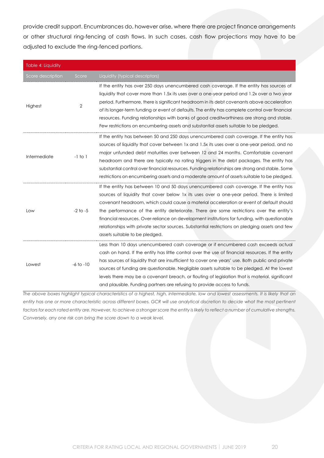provide credit support. Encumbrances do, however arise, where there are project finance arrangements or other structural ring-fencing of cash flows. In such cases, cash flow projections may have to be adjusted to exclude the ring-fenced portions.

| Table 4: Liquidity |               |                                                                                                                                                                                                                                                                                                                                                                                                                                                                                                                                                                                                                  |
|--------------------|---------------|------------------------------------------------------------------------------------------------------------------------------------------------------------------------------------------------------------------------------------------------------------------------------------------------------------------------------------------------------------------------------------------------------------------------------------------------------------------------------------------------------------------------------------------------------------------------------------------------------------------|
| Score description  | Score         | Liquidity (typical descriptors)                                                                                                                                                                                                                                                                                                                                                                                                                                                                                                                                                                                  |
| Highest            | 2             | If the entity has over 250 days unencumbered cash coverage. If the entity has sources of<br>liquidity that cover more than 1.5x its uses over a one-year period and 1.2x over a two year<br>period. Furthermore, there is significant headroom in its debt covenants above acceleration<br>of its longer-term funding or event of defaults. The entity has complete control over financial<br>resources. Funding relationships with banks of good creditworthiness are strong and stable.<br>Few restrictions on encumbering assets and substantial assets suitable to be pledged.                               |
| Intermediate       | $-1$ to $1$   | If the entity has between 50 and 250 days unencumbered cash coverage. If the entity has<br>sources of liquidity that cover between 1x and 1.5x its uses over a one-year period, and no<br>major unfunded debt maturities over between 12 and 24 months. Comfortable covenant<br>headroom and there are typically no rating triggers in the debt packages. The entity has<br>substantial control over financial resources. Funding relationships are strong and stable. Some<br>restrictions on encumbering assets and a moderate amount of assets suitable to be pledged.                                        |
| Low                | $-2$ to $-5$  | If the entity has between 10 and 50 days unencumbered cash coverage. If the entity has<br>sources of liquidity that cover below 1x its uses over a one-year period. There is limited<br>covenant headroom, which could cause a material acceleration or event of default should<br>the performance of the entity deteriorate. There are some restrictions over the entity's<br>financial resources. Over-reliance on development institutions for funding, with questionable<br>relationships with private sector sources. Substantial restrictions on pledging assets and few<br>assets suitable to be pledged. |
| Lowest             | $-6$ to $-10$ | Less than 10 days unencumbered cash coverage or if encumbered cash exceeds actual<br>cash on hand. If the entity has little control over the use of financial resources. If the entity<br>has sources of liquidity that are insufficient to cover one years' use. Both public and private<br>sources of funding are questionable. Negligible assets suitable to be pledged. At the lowest<br>levels there may be a covenant breach, or flouting of legislation that is material, significant<br>and plausible. Funding partners are refusing to provide access to funds.                                         |

*The above boxes highlight typical characteristics of a highest, high, intermediate, low and lowest assessments. It is likely that an*  entity has one or more characteristic across different boxes. GCR will use analytical discretion to decide what the most pertinent *factors for each rated entity are. However, to achieve a stronger score the entity is likely to reflect a number of cumulative strengths. Conversely, any one risk can bring the score down to a weak level.*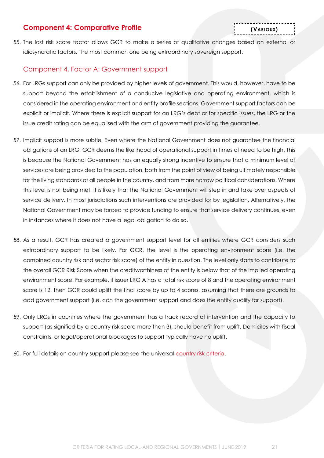# <span id="page-20-0"></span>**Component 4: Comparative Profile**

55. The last risk score factor allows GCR to make a series of qualitative changes based on external or idiosyncratic factors. The most common one being extraordinary sovereign support.

### <span id="page-20-1"></span>Component 4, Factor A: Government support

- 56. For LRGs support can only be provided by higher levels of government. This would, however, have to be support beyond the establishment of a conducive legislative and operating environment, which is considered in the operating environment and entity profile sections. Government support factors can be explicit or implicit. Where there is explicit support for an LRG's debt or for specific issues, the LRG or the issue credit rating can be equalised with the arm of government providing the guarantee.
- 57. Implicit support is more subtle. Even where the National Government does not guarantee the financial obligations of an LRG, GCR deems the likelihood of operational support in times of need to be high. This is because the National Government has an equally strong incentive to ensure that a minimum level of services are being provided to the population, both from the point of view of being ultimately responsible for the living standards of all people in the country, and from more narrow political considerations. Where this level is not being met, it is likely that the National Government will step in and take over aspects of service delivery. In most jurisdictions such interventions are provided for by legislation. Alternatively, the National Government may be forced to provide funding to ensure that service delivery continues, even in instances where it does not have a legal obligation to do so.
- 58. As a result, GCR has created a government support level for all entities where GCR considers such extraordinary support to be likely. For GCR, the level is the operating environment score (i.e. the combined country risk and sector risk score) of the entity in question. The level only starts to contribute to the overall GCR Risk Score when the creditworthiness of the entity is below that of the implied operating environment score. For example, if issuer LRG A has a total risk score of 8 and the operating environment score is 12, then GCR could uplift the final score by up to 4 scores, assuming that there are grounds to add government support (i.e. can the government support and does the entity qualify for support).
- 59. Only LRGs in countries where the government has a track record of intervention and the capacity to support (as signified by a country risk score more than 3), should benefit from uplift. Domiciles with fiscal constraints, or legal/operational blockages to support typically have no uplift.
- 60. For full details on country support please see the universal [country risk criteria.](http://gcrratings.com/criteria)

**(VARIOUS)**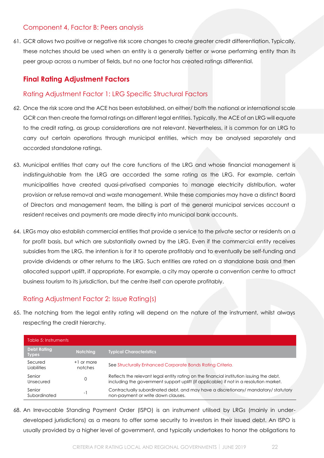# <span id="page-21-0"></span>Component 4, Factor B: Peers analysis

61. GCR allows two positive or negative risk score changes to create greater credit differentiation. Typically, these notches should be used when an entity is a generally better or worse performing entity than its peer group across a number of fields, but no one factor has created ratings differential.

# <span id="page-21-1"></span>**Final Rating Adjustment Factors**

# <span id="page-21-2"></span>Rating Adjustment Factor 1: LRG Specific Structural Factors

- 62. Once the risk score and the ACE has been established, on either/ both the national or international scale GCR can then create the formal ratings on different legal entities. Typically, the ACE of an LRG will equate to the credit rating, as group considerations are not relevant. Nevertheless, it is common for an LRG to carry out certain operations through municipal entities, which may be analysed separately and accorded standalone ratings.
- 63. Municipal entities that carry out the core functions of the LRG and whose financial management is indistinguishable from the LRG are accorded the same rating as the LRG. For example, certain municipalities have created quasi-privatised companies to manage electricity distribution, water provision or refuse removal and waste management. While these companies may have a distinct Board of Directors and management team, the billing is part of the general municipal services account a resident receives and payments are made directly into municipal bank accounts.
- 64. LRGs may also establish commercial entities that provide a service to the private sector or residents on a for profit basis, but which are substantially owned by the LRG. Even if the commercial entity receives subsidies from the LRG, the intention is for it to operate profitably and to eventually be self-funding and provide dividends or other returns to the LRG. Such entities are rated on a standalone basis and then allocated support uplift, if appropriate. For example, a city may operate a convention centre to attract business tourism to its jurisdiction, but the centre itself can operate profitably.

# <span id="page-21-3"></span>Rating Adjustment Factor 2: Issue Rating(s)

65. The notching from the legal entity rating will depend on the nature of the instrument, whilst always respecting the credit hierarchy.

| Table 5: Instruments               |                         |                                                                                                                                                                                    |
|------------------------------------|-------------------------|------------------------------------------------------------------------------------------------------------------------------------------------------------------------------------|
| <b>Debt Rating</b><br><b>Types</b> | Notching                | <b>Typical Characteristics</b>                                                                                                                                                     |
| Secured<br><b>Liabilities</b>      | $+1$ or more<br>notches | See Structurally Enhanced Corporate Bonds Rating Criteria.                                                                                                                         |
| Senior<br>Unsecured                | 0                       | Reflects the relevant legal entity rating on the financial institution issuing the debt,<br>including the government support uplift (if applicable) if not in a resolution market. |
| Senior<br>Subordinated             | - 1                     | Contractually subordinated debt, and may have a discretionary/mandatory/statutory<br>non-payment or write down clauses.                                                            |

68. An Irrevocable Standing Payment Order (ISPO) is an instrument utilised by LRGs (mainly in underdeveloped jurisdictions) as a means to offer some security to investors in their issued debt. An ISPO is usually provided by a higher level of government, and typically undertakes to honor the obligations to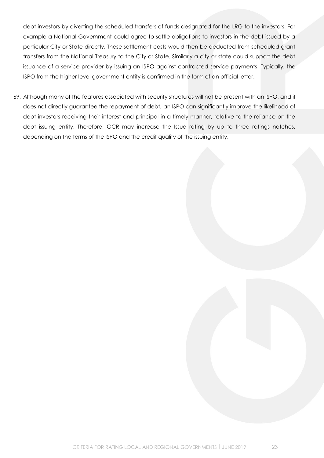debt investors by diverting the scheduled transfers of funds designated for the LRG to the investors. For example a National Government could agree to settle obligations to investors in the debt issued by a particular City or State directly. These settlement costs would then be deducted from scheduled grant transfers from the National Treasury to the City or State. Similarly a city or state could support the debt issuance of a service provider by issuing an ISPO against contracted service payments. Typically, the ISPO from the higher level government entity is confirmed in the form of an official letter.

69. Although many of the features associated with security structures will not be present with an ISPO, and it does not directly guarantee the repayment of debt, an ISPO can significantly improve the likelihood of debt investors receiving their interest and principal in a timely manner, relative to the reliance on the debt issuing entity. Therefore, GCR may increase the Issue rating by up to three ratings notches, depending on the terms of the ISPO and the credit quality of the issuing entity.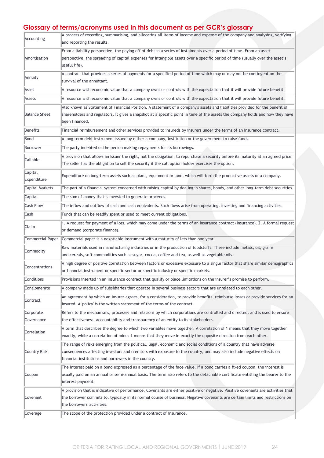# **Glossary of terms/acronyms used in this document as per GCR's glossary**

| Accounting              | A process of recording, summarising, and allocating all items of income and expense of the company and analysing, verifying<br>and reporting the results.                                                                                                                                             |
|-------------------------|-------------------------------------------------------------------------------------------------------------------------------------------------------------------------------------------------------------------------------------------------------------------------------------------------------|
| Amortisation            | From a liability perspective, the paying off of debt in a series of instalments over a period of time. From an asset<br>perspective, the spreading of capital expenses for intangible assets over a specific period of time (usually over the asset's<br>useful life).                                |
| Annuity                 | A contract that provides a series of payments for a specified period of time which may or may not be contingent on the<br>survival of the annuitant.                                                                                                                                                  |
| Asset                   | A resource with economic value that a company owns or controls with the expectation that it will provide future benefit.                                                                                                                                                                              |
| Assets                  | A resource with economic value that a company owns or controls with the expectation that it will provide future benefit.                                                                                                                                                                              |
| <b>Balance Sheet</b>    | Also known as Statement of Financial Position. A statement of a company's assets and liabilities provided for the benefit of<br>shareholders and regulators. It gives a snapshot at a specific point in time of the assets the company holds and how they have<br>been financed.                      |
| Benefits                | Financial reimbursement and other services provided to insureds by insurers under the terms of an insurance contract.                                                                                                                                                                                 |
| Bond                    | A long term debt instrument issued by either a company, institution or the government to raise funds.                                                                                                                                                                                                 |
| Borrower                | The party indebted or the person making repayments for its borrowings.                                                                                                                                                                                                                                |
| Callable                | A provision that allows an Issuer the right, not the obligation, to repurchase a security before its maturity at an agreed price.<br>The seller has the obligation to sell the security if the call option holder exercises the option.                                                               |
| Capital<br>Expenditure  | Expenditure on long-term assets such as plant, equipment or land, which will form the productive assets of a company.                                                                                                                                                                                 |
| <b>Capital Markets</b>  | The part of a financial system concerned with raising capital by dealing in shares, bonds, and other long-term debt securities.                                                                                                                                                                       |
| Capital                 | The sum of money that is invested to generate proceeds.                                                                                                                                                                                                                                               |
| <b>Cash Flow</b>        | The inflow and outflow of cash and cash equivalents. Such flows arise from operating, investing and financing activities.                                                                                                                                                                             |
| Cash                    | Funds that can be readily spent or used to meet current obligations.                                                                                                                                                                                                                                  |
| Claim                   | 1. A request for payment of a loss, which may come under the terms of an insurance contract (insurance). 2. A formal request<br>or demand (corporate finance).                                                                                                                                        |
| Commercial Paper        | Commercial paper is a negotiable instrument with a maturity of less than one year.                                                                                                                                                                                                                    |
| Commodity               | Raw materials used in manufacturing industries or in the production of foodstuffs. These include metals, oil, grains<br>and cereals, soft commodities such as sugar, cocoa, coffee and tea, as well as vegetable oils.                                                                                |
| Concentrations          | A high degree of positive correlation between factors or excessive exposure to a single factor that share similar demographics<br>or financial instrument or specific sector or specific industry or specific markets.                                                                                |
| Conditions              | Provisions inserted in an insurance contract that qualify or place limitations on the insurer's promise to perform.                                                                                                                                                                                   |
| Conglomerate            | A company made up of subsidiaries that operate in several business sectors that are unrelated to each other.                                                                                                                                                                                          |
| Contract                | An agreement by which an insurer agrees, for a consideration, to provide benefits, reimburse losses or provide services for an<br>insured. A 'policy' is the written statement of the terms of the contract.                                                                                          |
| Corporate<br>Governance | Refers to the mechanisms, processes and relations by which corporations are controlled and directed, and is used to ensure<br>the effectiveness, accountability and transparency of an entity to its stakeholders.                                                                                    |
| Correlation             | A term that describes the degree to which two variables move together. A correlation of 1 means that they move together<br>exactly, while a correlation of minus 1 means that they move in exactly the opposite direction from each other.                                                            |
| Country Risk            | The range of risks emerging from the political, legal, economic and social conditions of a country that have adverse<br>consequences affecting investors and creditors with exposure to the country, and may also include negative effects on<br>financial institutions and borrowers in the country. |
| Coupon                  | The interest paid on a bond expressed as a percentage of the face value. If a bond carries a fixed coupon, the interest is<br>usually paid on an annual or semi-annual basis. The term also refers to the detachable certificate entitling the bearer to the<br>interest payment.                     |
| Covenant                | A provision that is indicative of performance. Covenants are either positive or negative. Positive covenants are activities that<br>the borrower commits to, typically in its normal course of business. Negative covenants are certain limits and restrictions on<br>the borrowers' activities.      |
| Coverage                | The scope of the protection provided under a contract of insurance.                                                                                                                                                                                                                                   |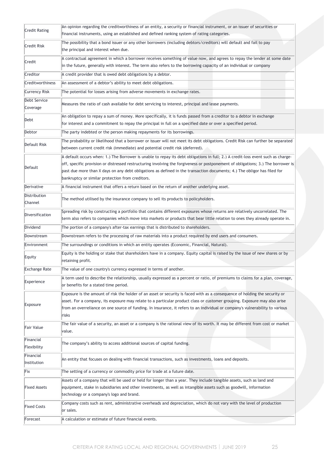| <b>Credit Rating</b>     | An opinion regarding the creditworthiness of an entity, a security or financial instrument, or an issuer of securities or<br>financial instruments, using an established and defined ranking system of rating categories.                                                                                                                                                                                                                             |
|--------------------------|-------------------------------------------------------------------------------------------------------------------------------------------------------------------------------------------------------------------------------------------------------------------------------------------------------------------------------------------------------------------------------------------------------------------------------------------------------|
| Credit Risk              | The possibility that a bond issuer or any other borrowers (including debtors/creditors) will default and fail to pay<br>the principal and interest when due.                                                                                                                                                                                                                                                                                          |
| Credit                   | A contractual agreement in which a borrower receives something of value now, and agrees to repay the lender at some date<br>in the future, generally with interest. The term also refers to the borrowing capacity of an individual or company                                                                                                                                                                                                        |
| Creditor                 | A credit provider that is owed debt obligations by a debtor.                                                                                                                                                                                                                                                                                                                                                                                          |
| Creditworthiness         | An assessment of a debtor's ability to meet debt obligations.                                                                                                                                                                                                                                                                                                                                                                                         |
| <b>Currency Risk</b>     | The potential for losses arising from adverse movements in exchange rates.                                                                                                                                                                                                                                                                                                                                                                            |
| Debt Service<br>Coverage | Measures the ratio of cash available for debt servicing to interest, principal and lease payments.                                                                                                                                                                                                                                                                                                                                                    |
| Debt                     | An obligation to repay a sum of money. More specifically, it is funds passed from a creditor to a debtor in exchange<br>for interest and a commitment to repay the principal in full on a specified date or over a specified period.                                                                                                                                                                                                                  |
| Debtor                   | The party indebted or the person making repayments for its borrowings.                                                                                                                                                                                                                                                                                                                                                                                |
| Default Risk             | The probability or likelihood that a borrower or issuer will not meet its debt obligations. Credit Risk can further be separated<br>between current credit risk (immediate) and potential credit risk (deferred).                                                                                                                                                                                                                                     |
| Default                  | A default occurs when: 1.) The Borrower is unable to repay its debt obligations in full; 2.) A credit-loss event such as charge-<br>off, specific provision or distressed restructuring involving the forgiveness or postponement of obligations; 3.) The borrower is<br>past due more than X days on any debt obligations as defined in the transaction documents; 4.) The obligor has filed for<br>bankruptcy or similar protection from creditors. |
| Derivative               | A financial instrument that offers a return based on the return of another underlying asset.                                                                                                                                                                                                                                                                                                                                                          |
| Distribution<br>Channel  | The method utilised by the insurance company to sell its products to policyholders.                                                                                                                                                                                                                                                                                                                                                                   |
| Diversification          | Spreading risk by constructing a portfolio that contains different exposures whose returns are relatively uncorrelated. The<br>term also refers to companies which move into markets or products that bear little relation to ones they already operate in.                                                                                                                                                                                           |
| Dividend                 | The portion of a company's after-tax earnings that is distributed to shareholders.                                                                                                                                                                                                                                                                                                                                                                    |
| Downstream               | Downstream refers to the processing of raw materials into a product required by end users and consumers.                                                                                                                                                                                                                                                                                                                                              |
| Environment              | The surroundings or conditions in which an entity operates (Economic, Financial, Natural).                                                                                                                                                                                                                                                                                                                                                            |
| Equity                   | Equity is the holding or stake that shareholders have in a company. Equity capital is raised by the issue of new shares or by<br>retaining profit.                                                                                                                                                                                                                                                                                                    |
| Exchange Rate            | The value of one country's currency expressed in terms of another.                                                                                                                                                                                                                                                                                                                                                                                    |
| Experience               | A term used to describe the relationship, usually expressed as a percent or ratio, of premiums to claims for a plan, coverage,<br>or benefits for a stated time period.                                                                                                                                                                                                                                                                               |
| Exposure                 | Exposure is the amount of risk the holder of an asset or security is faced with as a consequence of holding the security or<br>asset. For a company, its exposure may relate to a particular product class or customer grouping. Exposure may also arise<br>from an overreliance on one source of funding. In insurance, it refers to an individual or company's vulnerability to various<br>risks                                                    |
| <b>Fair Value</b>        | The fair value of a security, an asset or a company is the rational view of its worth. It may be different from cost or market<br>value.                                                                                                                                                                                                                                                                                                              |
| Financial<br>Flexibility | The company's ability to access additional sources of capital funding.                                                                                                                                                                                                                                                                                                                                                                                |
| Financial<br>Institution | An entity that focuses on dealing with financial transactions, such as investments, loans and deposits.                                                                                                                                                                                                                                                                                                                                               |
| Fix                      | The setting of a currency or commodity price for trade at a future date.                                                                                                                                                                                                                                                                                                                                                                              |
| <b>Fixed Assets</b>      | Assets of a company that will be used or held for longer than a year. They include tangible assets, such as land and<br>equipment, stake in subsidiaries and other investments, as well as intangible assets such as goodwill, information<br>technology or a company's logo and brand.                                                                                                                                                               |
| <b>Fixed Costs</b>       | Company costs such as rent, administrative overheads and depreciation, which do not vary with the level of production<br>or sales.                                                                                                                                                                                                                                                                                                                    |
| Forecast                 | A calculation or estimate of future financial events.                                                                                                                                                                                                                                                                                                                                                                                                 |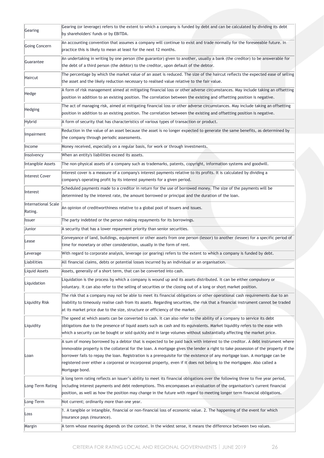| Gearing                        | Gearing (or leverage) refers to the extent to which a company is funded by debt and can be calculated by dividing its debt<br>by shareholders' funds or by EBITDA.                                                                                                                                                                                                                                                                                                                                                                        |
|--------------------------------|-------------------------------------------------------------------------------------------------------------------------------------------------------------------------------------------------------------------------------------------------------------------------------------------------------------------------------------------------------------------------------------------------------------------------------------------------------------------------------------------------------------------------------------------|
| Going Concern                  | An accounting convention that assumes a company will continue to exist and trade normally for the foreseeable future. In<br>practice this is likely to mean at least for the next 12 months.                                                                                                                                                                                                                                                                                                                                              |
| Guarantee                      | An undertaking in writing by one person (the guarantor) given to another, usually a bank (the creditor) to be answerable for<br>the debt of a third person (the debtor) to the creditor, upon default of the debtor.                                                                                                                                                                                                                                                                                                                      |
| Haircut                        | The percentage by which the market value of an asset is reduced. The size of the haircut reflects the expected ease of selling<br>the asset and the likely reduction necessary to realised value relative to the fair value.                                                                                                                                                                                                                                                                                                              |
| Hedge                          | A form of risk management aimed at mitigating financial loss or other adverse circumstances. May include taking an offsetting<br>position in addition to an existing position. The correlation between the existing and offsetting position is negative.                                                                                                                                                                                                                                                                                  |
| Hedging                        | The act of managing risk, aimed at mitigating financial loss or other adverse circumstances. May include taking an offsetting<br>position in addition to an existing position. The correlation between the existing and offsetting position is negative.                                                                                                                                                                                                                                                                                  |
| Hybrid                         | A form of security that has characteristics of various types of transaction or product.                                                                                                                                                                                                                                                                                                                                                                                                                                                   |
| Impairment                     | Reduction in the value of an asset because the asset is no longer expected to generate the same benefits, as determined by<br>the company through periodic assessments.                                                                                                                                                                                                                                                                                                                                                                   |
| Income                         | Money received, especially on a regular basis, for work or through investments.                                                                                                                                                                                                                                                                                                                                                                                                                                                           |
| Insolvency                     | When an entity's liabilities exceed its assets.                                                                                                                                                                                                                                                                                                                                                                                                                                                                                           |
| Intangible Assets              | The non-physical assets of a company such as trademarks, patents, copyright, information systems and goodwill.                                                                                                                                                                                                                                                                                                                                                                                                                            |
| Interest Cover                 | Interest cover is a measure of a company's interest payments relative to its profits. It is calculated by dividing a<br>company's operating profit by its interest payments for a given period.                                                                                                                                                                                                                                                                                                                                           |
| Interest                       | Scheduled payments made to a creditor in return for the use of borrowed money. The size of the payments will be<br>determined by the interest rate, the amount borrowed or principal and the duration of the loan.                                                                                                                                                                                                                                                                                                                        |
| International Scale<br>Rating. | An opinion of creditworthiness relative to a global pool of issuers and issues.                                                                                                                                                                                                                                                                                                                                                                                                                                                           |
| Issuer                         | The party indebted or the person making repayments for its borrowings.                                                                                                                                                                                                                                                                                                                                                                                                                                                                    |
| Junior                         | A security that has a lower repayment priority than senior securities.                                                                                                                                                                                                                                                                                                                                                                                                                                                                    |
| Lease                          | Conveyance of land, buildings, equipment or other assets from one person (lessor) to another (lessee) for a specific period of<br>time for monetary or other consideration, usually in the form of rent.                                                                                                                                                                                                                                                                                                                                  |
| Leverage                       | With regard to corporate analysis, leverage (or gearing) refers to the extent to which a company is funded by debt.                                                                                                                                                                                                                                                                                                                                                                                                                       |
| Liabilities                    | All financial claims, debts or potential losses incurred by an individual or an organisation.                                                                                                                                                                                                                                                                                                                                                                                                                                             |
| Liquid Assets                  | Assets, generally of a short term, that can be converted into cash.                                                                                                                                                                                                                                                                                                                                                                                                                                                                       |
| Liquidation                    | Liquidation is the process by which a company is wound up and its assets distributed. It can be either compulsory or<br>voluntary. It can also refer to the selling of securities or the closing out of a long or short market position.                                                                                                                                                                                                                                                                                                  |
| Liquidity Risk                 | The risk that a company may not be able to meet its financial obligations or other operational cash requirements due to an<br>inability to timeously realise cash from its assets. Regarding securities, the risk that a financial instrument cannot be traded                                                                                                                                                                                                                                                                            |
|                                | at its market price due to the size, structure or efficiency of the market.                                                                                                                                                                                                                                                                                                                                                                                                                                                               |
| Liquidity                      | The speed at which assets can be converted to cash. It can also refer to the ability of a company to service its debt<br>obligations due to the presence of liquid assets such as cash and its equivalents. Market liquidity refers to the ease with<br>which a security can be bought or sold quickly and in large volumes without substantially affecting the market price.                                                                                                                                                             |
| Loan                           | A sum of money borrowed by a debtor that is expected to be paid back with interest to the creditor. A debt instrument where<br>immovable property is the collateral for the loan. A mortgage gives the lender a right to take possession of the property if the<br>borrower fails to repay the loan. Registration is a prerequisite for the existence of any mortgage loan. A mortgage can be<br>registered over either a corporeal or incorporeal property, even if it does not belong to the mortgagee. Also called a<br>Mortgage bond. |
| Long-Term Rating               | A long term rating reflects an issuer's ability to meet its financial obligations over the following three to five year period,<br>including interest payments and debt redemptions. This encompasses an evaluation of the organisation's current financial                                                                                                                                                                                                                                                                               |
|                                | position, as well as how the position may change in the future with regard to meeting longer term financial obligations.                                                                                                                                                                                                                                                                                                                                                                                                                  |
| Long-Term                      | Not current; ordinarily more than one year.                                                                                                                                                                                                                                                                                                                                                                                                                                                                                               |
| Loss<br>Margin                 | 1. A tangible or intangible, financial or non-financial loss of economic value. 2. The happening of the event for which<br>insurance pays (insurance).<br>A term whose meaning depends on the context. In the widest sense, it means the difference between two values.                                                                                                                                                                                                                                                                   |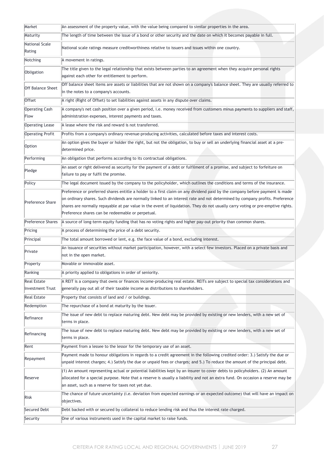| Market                   | An assessment of the property value, with the value being compared to similar properties in the area.                           |
|--------------------------|---------------------------------------------------------------------------------------------------------------------------------|
| Maturity                 | The length of time between the issue of a bond or other security and the date on which it becomes payable in full.              |
| National Scale           |                                                                                                                                 |
| Rating                   | National scale ratings measure creditworthiness relative to issuers and issues within one country.                              |
| Notching                 | A movement in ratings.                                                                                                          |
| Obligation               | The title given to the legal relationship that exists between parties to an agreement when they acquire personal rights         |
|                          | against each other for entitlement to perform.                                                                                  |
| <b>Off Balance Sheet</b> | Off balance sheet items are assets or liabilities that are not shown on a company's balance sheet. They are usually referred to |
|                          | in the notes to a company's accounts.                                                                                           |
| <b>Offset</b>            | A right (Right of Offset) to set liabilities against assets in any dispute over claims.                                         |
| <b>Operating Cash</b>    | A company's net cash position over a given period, i.e. money received from customers minus payments to suppliers and staff,    |
| Flow                     | administration expenses, interest payments and taxes.                                                                           |
| <b>Operating Lease</b>   | A lease where the risk and reward is not transferred.                                                                           |
| <b>Operating Profit</b>  | Profits from a company's ordinary revenue-producing activities, calculated before taxes and interest costs.                     |
| Option                   | An option gives the buyer or holder the right, but not the obligation, to buy or sell an underlying financial asset at a pre-   |
|                          | determined price.                                                                                                               |
| Performing               | An obligation that performs according to its contractual obligations.                                                           |
| Pledge                   | An asset or right delivered as security for the payment of a debt or fulfilment of a promise, and subject to forfeiture on      |
|                          | failure to pay or fulfil the promise.                                                                                           |
| Policy                   | The legal document issued by the company to the policyholder, which outlines the conditions and terms of the insurance.         |
|                          | Preference or preferred shares entitle a holder to a first claim on any dividend paid by the company before payment is made     |
| Preference Share         | on ordinary shares. Such dividends are normally linked to an interest rate and not determined by company profits. Preference    |
|                          | shares are normally repayable at par value in the event of liquidation. They do not usually carry voting or pre-emptive rights. |
|                          | Preference shares can be redeemable or perpetual.                                                                               |
| Preference Shares        | A source of long-term equity funding that has no voting rights and higher pay-out priority than common shares.                  |
| Pricing                  | A process of determining the price of a debt security.                                                                          |
| Principal                | The total amount borrowed or lent, e.g. the face value of a bond, excluding interest.                                           |
| Private                  | An issuance of securities without market participation, however, with a select few investors. Placed on a private basis and     |
|                          | not in the open market.                                                                                                         |
| Property                 | Movable or immovable asset.                                                                                                     |
| Ranking                  | A priority applied to obligations in order of seniority.                                                                        |
| <b>Real Estate</b>       | A REIT is a company that owns or finances income-producing real estate. REITs are subject to special tax considerations and     |
| <b>Investment Trust</b>  | generally pay out all of their taxable income as distributions to shareholders.                                                 |
| <b>Real Estate</b>       | Property that consists of land and / or buildings.                                                                              |
| Redemption               | The repurchase of a bond at maturity by the issuer.                                                                             |
| Refinance                | The issue of new debt to replace maturing debt. New debt may be provided by existing or new lenders, with a new set of          |
|                          | terms in place.                                                                                                                 |
| Refinancing              | The issue of new debt to replace maturing debt. New debt may be provided by existing or new lenders, with a new set of          |
|                          | terms in place.                                                                                                                 |
| Rent                     | Payment from a lessee to the lessor for the temporary use of an asset.                                                          |
| Repayment                | Payment made to honour obligations in regards to a credit agreement in the following credited order: 3.) Satisfy the due or     |
|                          | unpaid interest charges; 4.) Satisfy the due or unpaid fees or charges; and 5.) To reduce the amount of the principal debt.     |
|                          | (1) An amount representing actual or potential liabilities kept by an insurer to cover debts to policyholders. (2) An amount    |
| Reserve                  | allocated for a special purpose. Note that a reserve is usually a liability and not an extra fund. On occasion a reserve may be |
|                          | an asset, such as a reserve for taxes not yet due.                                                                              |
| Risk                     | The chance of future uncertainty (i.e. deviation from expected earnings or an expected outcome) that will have an impact on     |
|                          | objectives.                                                                                                                     |
| Secured Debt             | Debt backed with or secured by collateral to reduce lending risk and thus the interest rate charged.                            |
| Security                 | One of various instruments used in the capital market to raise funds.                                                           |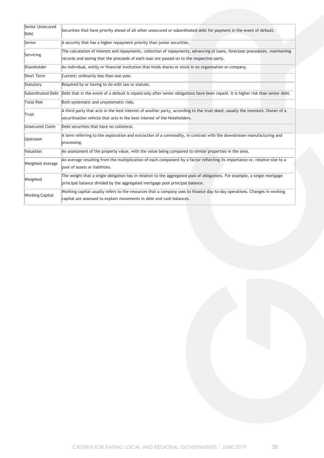| Senior Unsecured<br>Debt | Securities that have priority ahead of all other unsecured or subordinated debt for payment in the event of default.                                                                                                    |
|--------------------------|-------------------------------------------------------------------------------------------------------------------------------------------------------------------------------------------------------------------------|
| Senior                   | A security that has a higher repayment priority than junior securities.                                                                                                                                                 |
| Servicing                | The calculation of interest and repayments, collection of repayments, advancing of loans, foreclose procedures, maintaining<br>records and seeing that the proceeds of each loan are passed on to the respective party. |
| Shareholder              | An individual, entity or financial institution that holds shares or stock in an organisation or company.                                                                                                                |
| Short Term               | Current; ordinarily less than one year.                                                                                                                                                                                 |
| Statutory                | Required by or having to do with law or statute.                                                                                                                                                                        |
|                          | Subordinated Debt Debt that in the event of a default is repaid only after senior obligations have been repaid. It is higher risk than senior debt.                                                                     |
| <b>Total Risk</b>        | Both systematic and unsystematic risks.                                                                                                                                                                                 |
| Trust                    | A third party that acts in the best interest of another party, according to the trust deed, usually the investors. Owner of a<br>securitisation vehicle that acts in the best interest of the Noteholders.              |
| Unsecured Claim          | Debt securities that have no collateral.                                                                                                                                                                                |
| Upstream                 | A term referring to the exploration and extraction of a commodity, in contrast with the downstream manufacturing and<br>processing.                                                                                     |
| Valuation                | An assessment of the property value, with the value being compared to similar properties in the area.                                                                                                                   |
| <b>Weighted Average</b>  | An average resulting from the multiplication of each component by a factor reflecting its importance or, relative size to a<br>pool of assets or liabilities.                                                           |
| Weighted                 | The weight that a single obligation has in relation to the aggregated pool of obligations. For example, a single mortgage<br>principal balance divided by the aggregated mortgage pool principal balance.               |
| <b>Working Capital</b>   | Working capital usually refers to the resources that a company uses to finance day-to-day operations. Changes in working<br>capital are assessed to explain movements in debt and cash balances.                        |